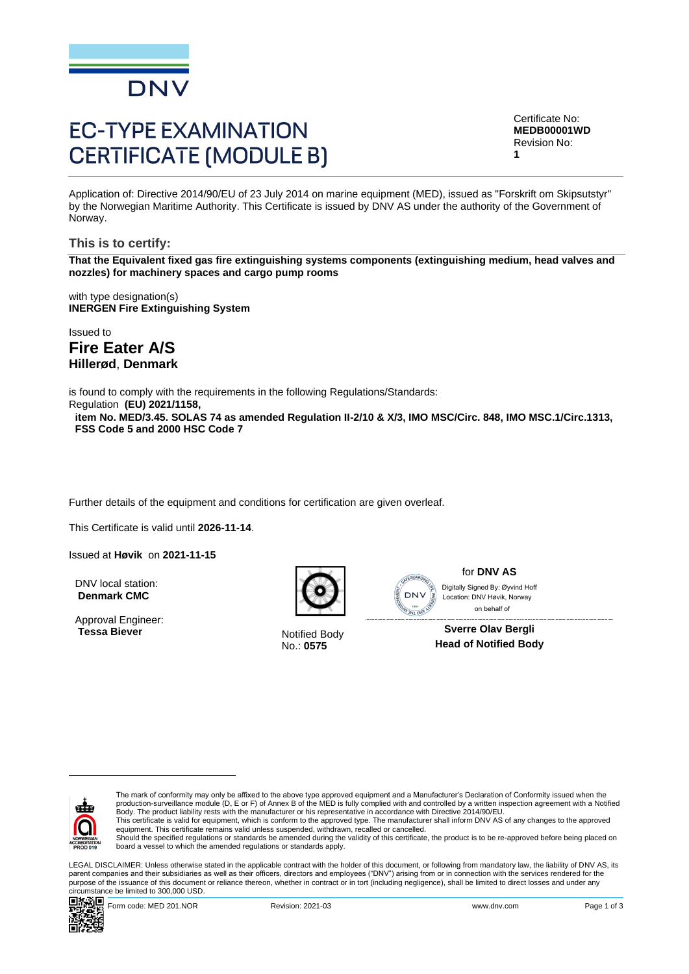

# **EC-TYPE EXAMINATION CERTIFICATE (MODULE B)**

Certificate No: **MEDB00001WD** Revision No: **1**

Application of: Directive 2014/90/EU of 23 July 2014 on marine equipment (MED), issued as "Forskrift om Skipsutstyr" by the Norwegian Maritime Authority. This Certificate is issued by DNV AS under the authority of the Government of Norway.

**This is to certify:**

**That the Equivalent fixed gas fire extinguishing systems components (extinguishing medium, head valves and nozzles) for machinery spaces and cargo pump rooms**

with type designation(s) **INERGEN Fire Extinguishing System**

Issued to

**Fire Eater A/S Hillerød**, **Denmark**

is found to comply with the requirements in the following Regulations/Standards:

Regulation **(EU) 2021/1158,** 

**item No. MED/3.45. SOLAS 74 as amended Regulation II-2/10 & X/3, IMO MSC/Circ. 848, IMO MSC.1/Circ.1313, FSS Code 5 and 2000 HSC Code 7**

Further details of the equipment and conditions for certification are given overleaf.

This Certificate is valid until **2026-11-14**.

Issued at **Høvik** on **2021-11-15**

DNV local station: **Denmark CMC**

Approval Engineer:<br>Tessa Biever



**Notified Body** No.: **0575**



#### for **DNV AS**

 on behalf ofDigitally Signed By: Øyvind Hoff Location: DNV Høvik, Norway

**Sverre Olav Bergli Head of Notified Body**



The mark of conformity may only be affixed to the above type approved equipment and a Manufacturer's Declaration of Conformity issued when the<br>production-surveillance module (D, E or F) of Annex B of the MED is fully compl Body. The product liability rests with the manufacturer or his representative in accordance with Directive 2014/90/EU.

This certificate is valid for equipment, which is conform to the approved type. The manufacturer shall inform DNV AS of any changes to the approved<br>equipment. This certificate remains valid unless suspended, withdrawn, rec

Should the specified regulations or standards be amended during the validity of this certificate, the product is to be re-approved before being placed on board a vessel to which the amended regulations or standards apply.

LEGAL DISCLAIMER: Unless otherwise stated in the applicable contract with the holder of this document, or following from mandatory law, the liability of DNV AS, its parent companies and their subsidiaries as well as their officers, directors and employees ("DNV") arising from or in connection with the services rendered for the purpose of the issuance of this document or reliance thereon, whether in contract or in tort (including negligence), shall be limited to direct losses and under any circumstance be limited to 300,000 USD.

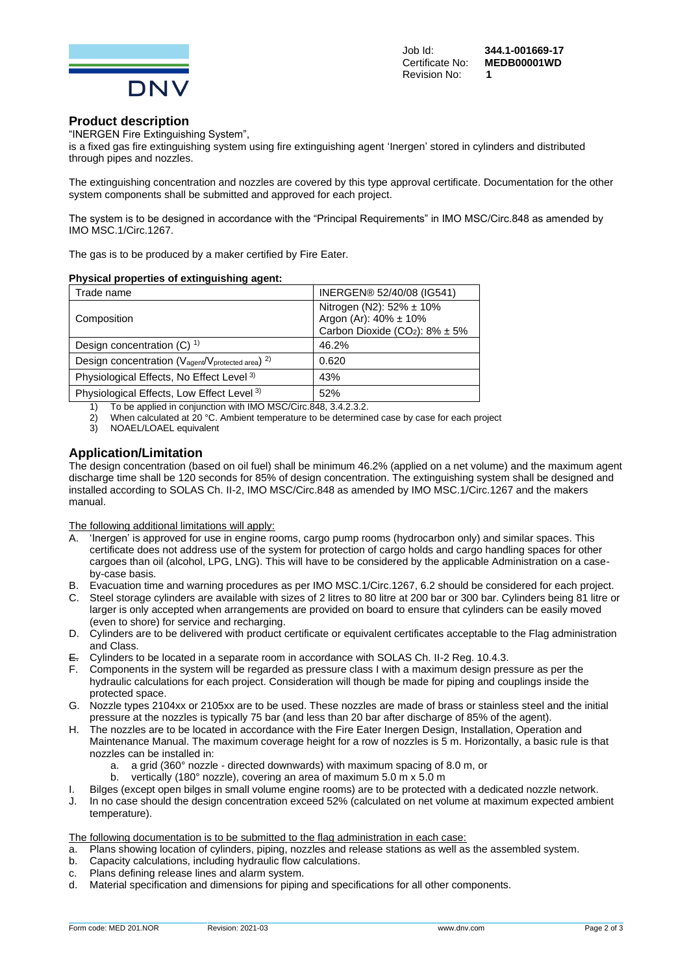

Revision No: **1**

# **Product description**

"INERGEN Fire Extinguishing System",

is a fixed gas fire extinguishing system using fire extinguishing agent 'Inergen' stored in cylinders and distributed through pipes and nozzles.

The extinguishing concentration and nozzles are covered by this type approval certificate. Documentation for the other system components shall be submitted and approved for each project.

The system is to be designed in accordance with the "Principal Requirements" in IMO MSC/Circ.848 as amended by IMO MSC.1/Circ.1267.

The gas is to be produced by a maker certified by Fire Eater.

### **Physical properties of extinguishing agent:**

| Trade name                                                                            | INERGEN® 52/40/08 (IG541)                                                                             |
|---------------------------------------------------------------------------------------|-------------------------------------------------------------------------------------------------------|
| Composition                                                                           | Nitrogen (N2): 52% ± 10%<br>Argon (Ar): 40% ± 10%<br>Carbon Dioxide (CO <sub>2</sub> ): $8\% \pm 5\%$ |
| Design concentration $(C)$ <sup>1)</sup>                                              | 46.2%                                                                                                 |
| Design concentration (V <sub>agent</sub> /V <sub>protected area</sub> ) <sup>2)</sup> | 0.620                                                                                                 |
| Physiological Effects, No Effect Level <sup>3)</sup>                                  | 43%                                                                                                   |
| Physiological Effects, Low Effect Level <sup>3)</sup>                                 | 52%                                                                                                   |

1) To be applied in conjunction with IMO MSC/Circ.848, 3.4.2.3.2.

- 2) When calculated at 20 °C. Ambient temperature to be determined case by case for each project
- 3) NOAEL/LOAEL equivalent

# **Application/Limitation**

The design concentration (based on oil fuel) shall be minimum 46.2% (applied on a net volume) and the maximum agent discharge time shall be 120 seconds for 85% of design concentration. The extinguishing system shall be designed and installed according to SOLAS Ch. II-2, IMO MSC/Circ.848 as amended by IMO MSC.1/Circ.1267 and the makers manual.

The following additional limitations will apply:

- A. 'Inergen' is approved for use in engine rooms, cargo pump rooms (hydrocarbon only) and similar spaces. This certificate does not address use of the system for protection of cargo holds and cargo handling spaces for other cargoes than oil (alcohol, LPG, LNG). This will have to be considered by the applicable Administration on a caseby-case basis.
- B. Evacuation time and warning procedures as per IMO MSC.1/Circ.1267, 6.2 should be considered for each project.
- C. Steel storage cylinders are available with sizes of 2 litres to 80 litre at 200 bar or 300 bar. Cylinders being 81 litre or larger is only accepted when arrangements are provided on board to ensure that cylinders can be easily moved (even to shore) for service and recharging.
- D. Cylinders are to be delivered with product certificate or equivalent certificates acceptable to the Flag administration and Class.
- E. Cylinders to be located in a separate room in accordance with SOLAS Ch. II-2 Reg. 10.4.3.
- F. Components in the system will be regarded as pressure class I with a maximum design pressure as per the hydraulic calculations for each project. Consideration will though be made for piping and couplings inside the protected space.
- G. Nozzle types 2104xx or 2105xx are to be used. These nozzles are made of brass or stainless steel and the initial pressure at the nozzles is typically 75 bar (and less than 20 bar after discharge of 85% of the agent).
- H. The nozzles are to be located in accordance with the Fire Eater Inergen Design, Installation, Operation and Maintenance Manual. The maximum coverage height for a row of nozzles is 5 m. Horizontally, a basic rule is that nozzles can be installed in:
	- a. a grid (360° nozzle directed downwards) with maximum spacing of 8.0 m, or
	- b. vertically (180° nozzle), covering an area of maximum 5.0 m x 5.0 m
- I. Bilges (except open bilges in small volume engine rooms) are to be protected with a dedicated nozzle network.
- J. In no case should the design concentration exceed 52% (calculated on net volume at maximum expected ambient temperature).

The following documentation is to be submitted to the flag administration in each case:

- a. Plans showing location of cylinders, piping, nozzles and release stations as well as the assembled system.
- b. Capacity calculations, including hydraulic flow calculations.
- c. Plans defining release lines and alarm system.
- d. Material specification and dimensions for piping and specifications for all other components.